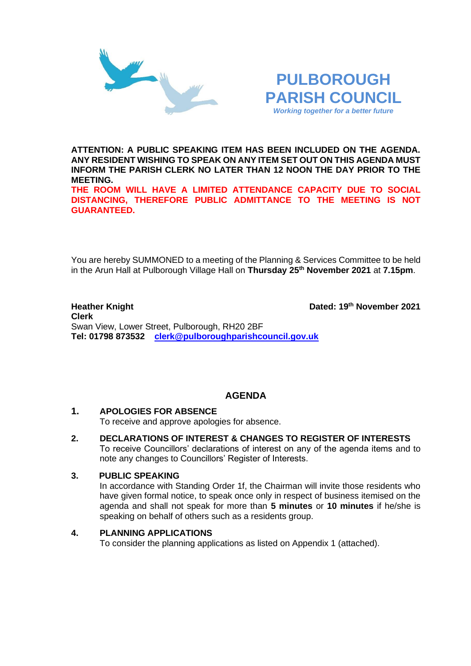



**ATTENTION: A PUBLIC SPEAKING ITEM HAS BEEN INCLUDED ON THE AGENDA. ANY RESIDENT WISHING TO SPEAK ON ANY ITEM SET OUT ON THIS AGENDA MUST INFORM THE PARISH CLERK NO LATER THAN 12 NOON THE DAY PRIOR TO THE MEETING.**

**THE ROOM WILL HAVE A LIMITED ATTENDANCE CAPACITY DUE TO SOCIAL DISTANCING, THEREFORE PUBLIC ADMITTANCE TO THE MEETING IS NOT GUARANTEED.**

You are hereby SUMMONED to a meeting of the Planning & Services Committee to be held in the Arun Hall at Pulborough Village Hall on **Thursday 25th November 2021** at **7.15pm**.

#### **Heather Knight th November 2021 Clerk**  Swan View, Lower Street, Pulborough, RH20 2BF **Tel: 01798 873532 [clerk@pulboroughparishcouncil.gov.uk](mailto:clerk@pulboroughparishcouncil.gov.uk)**

# **AGENDA**

# **1. APOLOGIES FOR ABSENCE**

To receive and approve apologies for absence.

**2. DECLARATIONS OF INTEREST & CHANGES TO REGISTER OF INTERESTS** To receive Councillors' declarations of interest on any of the agenda items and to note any changes to Councillors' Register of Interests.

# **3. PUBLIC SPEAKING**

In accordance with Standing Order 1f, the Chairman will invite those residents who have given formal notice, to speak once only in respect of business itemised on the agenda and shall not speak for more than **5 minutes** or **10 minutes** if he/she is speaking on behalf of others such as a residents group.

# **4. PLANNING APPLICATIONS**

To consider the planning applications as listed on Appendix 1 (attached).